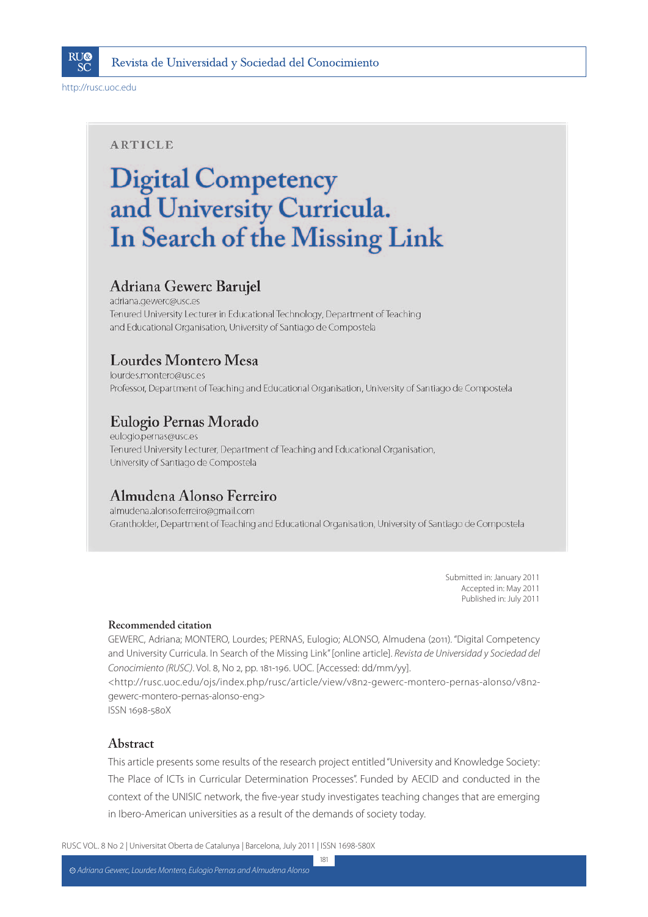

http://rusc.uoc.edu

#### **ARTICLE**

# **Digital Competency** and University Curricula. In Search of the Missing Link

### Adriana Gewerc Barujel

adriana.gewerc@usc.es Tenured University Lecturer in Educational Technology, Department of Teaching and Educational Organisation, University of Santiago de Compostela

### Lourdes Montero Mesa

lourdes.montero@usc.es Professor, Department of Teaching and Educational Organisation, University of Santiago de Compostela

### Eulogio Pernas Morado

eulogio.pernas@usc.es Tenured University Lecturer, Department of Teaching and Educational Organisation, University of Santiago de Compostela

### Almudena Alonso Ferreiro

almudena.alonso.ferreiro@gmail.com Grantholder, Department of Teaching and Educational Organisation, University of Santiago de Compostela

> Submitted in: January 2011 Accepted in: May 2011 Published in: July 2011

#### **Recommended citation**

GEWERC, Adriana; MONTERO, Lourdes; PERNAS, Eulogio; ALONSO, Almudena (2011). "Digital Competency and University Curricula. In Search of the Missing Link" [online article]. Revista de Universidad y Sociedad del Conocimiento (RUSC). Vol. 8, No 2, pp. 181-196. UOC. [Accessed: dd/mm/yy].

<http://rusc.uoc.edu/ojs/index.php/rusc/article/view/v8n2-gewerc-montero-pernas-alonso/v8n2 gewerc-montero-pernas-alonso-eng>

ISSN 1698-580X

### **Abstract**

This article presents some results of the research project entitled "University and Knowledge Society: The Place of ICTs in Curricular Determination Processes". Funded by AECID and conducted in the context of the UNISIC network, the five-year study investigates teaching changes that are emerging in Ibero-American universities as a result of the demands of society today.

181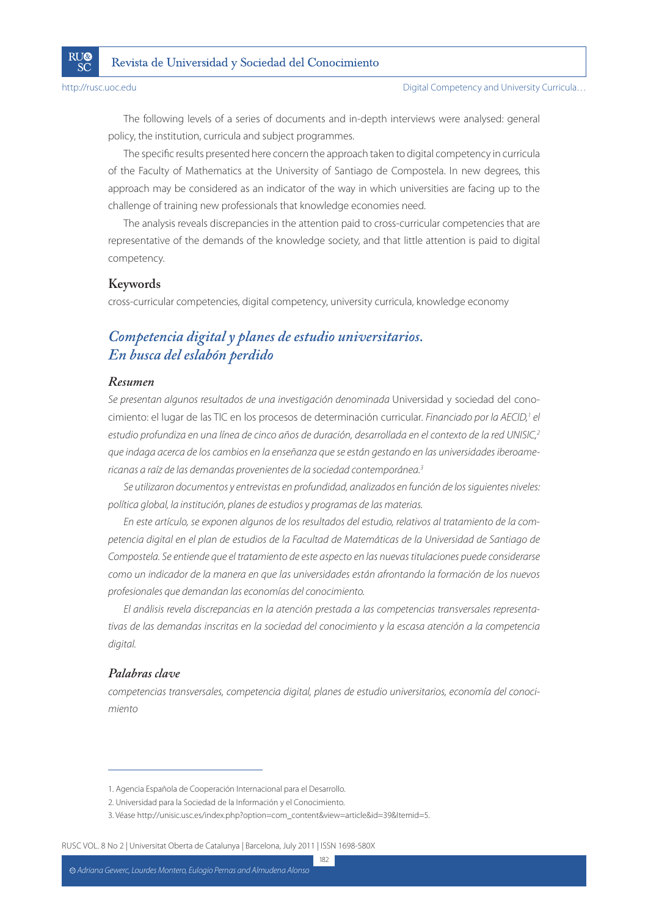The following levels of a series of documents and in-depth interviews were analysed: general policy, the institution, curricula and subject programmes.

The specific results presented here concern the approach taken to digital competency in curricula of the Faculty of Mathematics at the University of Santiago de Compostela. In new degrees, this approach may be considered as an indicator of the way in which universities are facing up to the challenge of training new professionals that knowledge economies need.

The analysis reveals discrepancies in the attention paid to cross-curricular competencies that are representative of the demands of the knowledge society, and that little attention is paid to digital competency.

#### **Keywords**

cross-curricular competencies, digital competency, university curricula, knowledge economy

### *Competencia digital y planes de estudio universitarios. En busca del eslabón perdido*

#### *Resumen*

Se presentan algunos resultados de una investigación denominada Universidad y sociedad del conocimiento: el lugar de las TIC en los procesos de determinación curricular. Financiado por la AECID,<sup>1</sup> el estudio profundiza en una línea de cinco años de duración, desarrollada en el contexto de la red UNISIC,<sup>2</sup> que indaga acerca de los cambios en la enseñanza que se están gestando en las universidades iberoamericanas a raíz de las demandas provenientes de la sociedad contemporánea.<sup>3</sup>

Se utilizaron documentos y entrevistas en profundidad, analizados en función de los siguientes niveles: política global, la institución, planes de estudios y programas de las materias.

En este artículo, se exponen algunos de los resultados del estudio, relativos al tratamiento de la competencia digital en el plan de estudios de la Facultad de Matemáticas de la Universidad de Santiago de Compostela. Se entiende que el tratamiento de este aspecto en las nuevas titulaciones puede considerarse como un indicador de la manera en que las universidades están afrontando la formación de los nuevos profesionales que demandan las economías del conocimiento.

El análisis revela discrepancias en la atención prestada a las competencias transversales representativas de las demandas inscritas en la sociedad del conocimiento y la escasa atención a la competencia digital.

#### *Palabras clave*

competencias transversales, competencia digital, planes de estudio universitarios, economía del conocimiento

182

RUSC VOL. 8 No 2 | Universitat Oberta de Catalunya | Barcelona, July 2011 | ISSN 1698-580X

<sup>1.</sup> Agencia Española de Cooperación Internacional para el Desarrollo.

<sup>2.</sup> Universidad para la Sociedad de la Información y el Conocimiento.

<sup>3.</sup> Véase http://unisic.usc.es/index.php?option=com\_content&view=article&id=39&Itemid=5.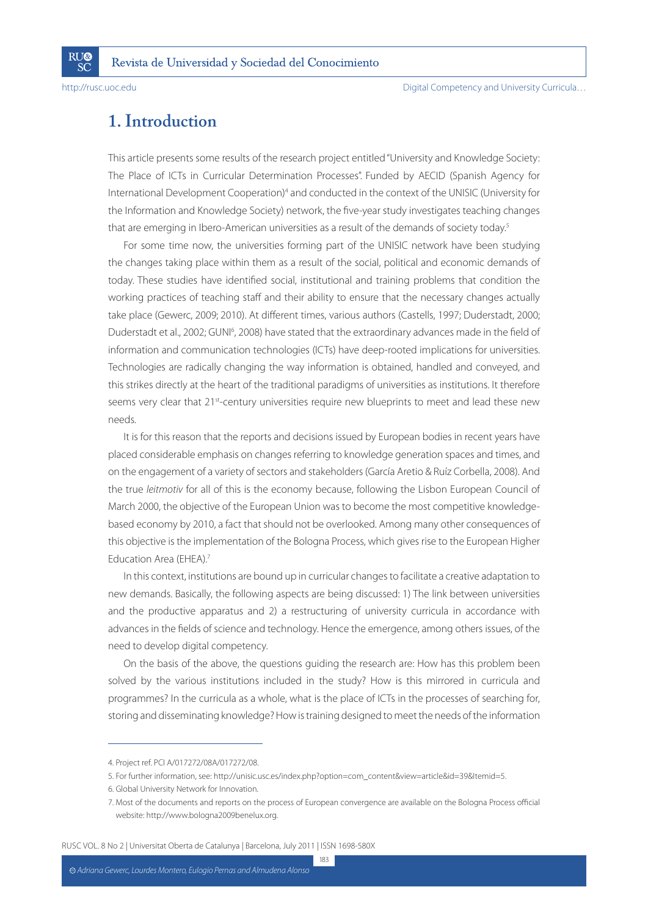**SC** 

### **1. Introduction**

This article presents some results of the research project entitled "University and Knowledge Society: The Place of ICTs in Curricular Determination Processes". Funded by AECID (Spanish Agency for International Development Cooperation)<sup>4</sup> and conducted in the context of the UNISIC (University for the Information and Knowledge Society) network, the five-year study investigates teaching changes that are emerging in Ibero-American universities as a result of the demands of society today.<sup>5</sup>

For some time now, the universities forming part of the UNISIC network have been studying the changes taking place within them as a result of the social, political and economic demands of today. These studies have identified social, institutional and training problems that condition the working practices of teaching staff and their ability to ensure that the necessary changes actually take place (Gewerc, 2009; 2010). At different times, various authors (Castells, 1997; Duderstadt, 2000; Duderstadt et al., 2002; GUNI<sup>6</sup>, 2008) have stated that the extraordinary advances made in the field of information and communication technologies (ICTs) have deep-rooted implications for universities. Technologies are radically changing the way information is obtained, handled and conveyed, and this strikes directly at the heart of the traditional paradigms of universities as institutions. It therefore seems very clear that 21<sup>st</sup>-century universities require new blueprints to meet and lead these new needs.

It is for this reason that the reports and decisions issued by European bodies in recent years have placed considerable emphasis on changes referring to knowledge generation spaces and times, and on the engagement of a variety of sectors and stakeholders (García Aretio & Ruíz Corbella, 2008). And the true leitmotiv for all of this is the economy because, following the Lisbon European Council of March 2000, the objective of the European Union was to become the most competitive knowledgebased economy by 2010, a fact that should not be overlooked. Among many other consequences of this objective is the implementation of the Bologna Process, which gives rise to the European Higher Education Area (EHEA).7

In this context, institutions are bound up in curricular changes to facilitate a creative adaptation to new demands. Basically, the following aspects are being discussed: 1) The link between universities and the productive apparatus and 2) a restructuring of university curricula in accordance with advances in the fields of science and technology. Hence the emergence, among others issues, of the need to develop digital competency.

On the basis of the above, the questions guiding the research are: How has this problem been solved by the various institutions included in the study? How is this mirrored in curricula and programmes? In the curricula as a whole, what is the place of ICTs in the processes of searching for, storing and disseminating knowledge? How is training designed to meet the needs of the information

183

<sup>4.</sup> Project ref. PCI A/017272/08A/017272/08.

<sup>5.</sup> For further information, see: http://unisic.usc.es/index.php?option=com\_content&view=article&id=39&Itemid=5.

<sup>6.</sup> Global University Network for Innovation.

<sup>7.</sup> Most of the documents and reports on the process of European convergence are available on the Bologna Process official website: http://www.bologna2009benelux.org.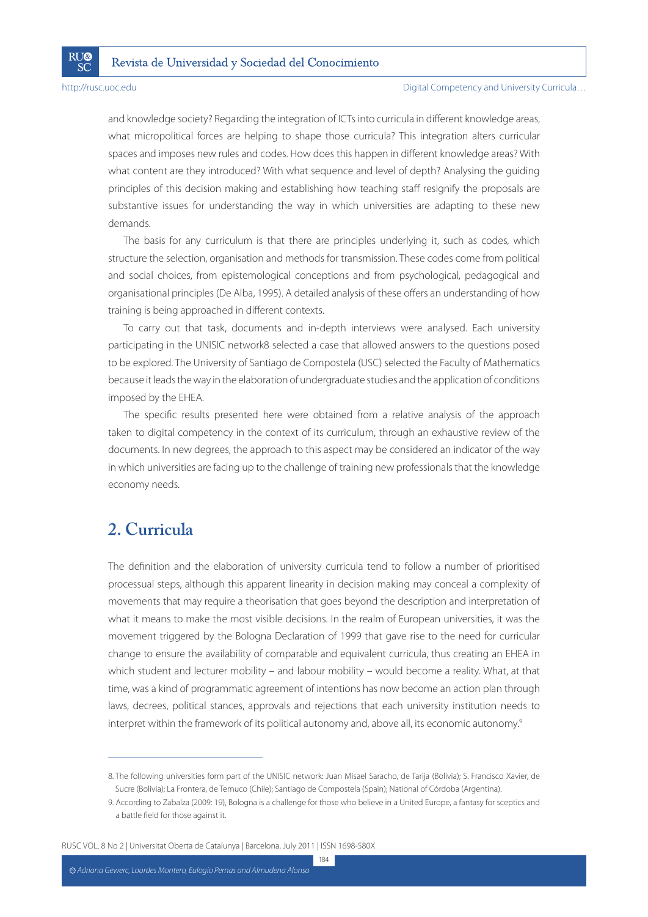**SC** 

and knowledge society? Regarding the integration of ICTs into curricula in different knowledge areas, what micropolitical forces are helping to shape those curricula? This integration alters curricular spaces and imposes new rules and codes. How does this happen in different knowledge areas? With what content are they introduced? With what sequence and level of depth? Analysing the guiding principles of this decision making and establishing how teaching staff resignify the proposals are substantive issues for understanding the way in which universities are adapting to these new demands.

The basis for any curriculum is that there are principles underlying it, such as codes, which structure the selection, organisation and methods for transmission. These codes come from political and social choices, from epistemological conceptions and from psychological, pedagogical and organisational principles (De Alba, 1995). A detailed analysis of these offers an understanding of how training is being approached in different contexts.

To carry out that task, documents and in-depth interviews were analysed. Each university participating in the UNISIC network8 selected a case that allowed answers to the questions posed to be explored. The University of Santiago de Compostela (USC) selected the Faculty of Mathematics because it leads the way in the elaboration of undergraduate studies and the application of conditions imposed by the EHEA.

The specific results presented here were obtained from a relative analysis of the approach taken to digital competency in the context of its curriculum, through an exhaustive review of the documents. In new degrees, the approach to this aspect may be considered an indicator of the way in which universities are facing up to the challenge of training new professionals that the knowledge economy needs.

### **2. Curricula**

The definition and the elaboration of university curricula tend to follow a number of prioritised processual steps, although this apparent linearity in decision making may conceal a complexity of movements that may require a theorisation that goes beyond the description and interpretation of what it means to make the most visible decisions. In the realm of European universities, it was the movement triggered by the Bologna Declaration of 1999 that gave rise to the need for curricular change to ensure the availability of comparable and equivalent curricula, thus creating an EHEA in which student and lecturer mobility – and labour mobility – would become a reality. What, at that time, was a kind of programmatic agreement of intentions has now become an action plan through laws, decrees, political stances, approvals and rejections that each university institution needs to interpret within the framework of its political autonomy and, above all, its economic autonomy.<sup>9</sup>

184

<sup>8.</sup> The following universities form part of the UNISIC network: Juan Misael Saracho, de Tarija (Bolivia); S. Francisco Xavier, de Sucre (Bolivia); La Frontera, de Temuco (Chile); Santiago de Compostela (Spain); National of Córdoba (Argentina).

<sup>9.</sup> According to Zabalza (2009: 19), Bologna is a challenge for those who believe in a United Europe, a fantasy for sceptics and a battle field for those against it.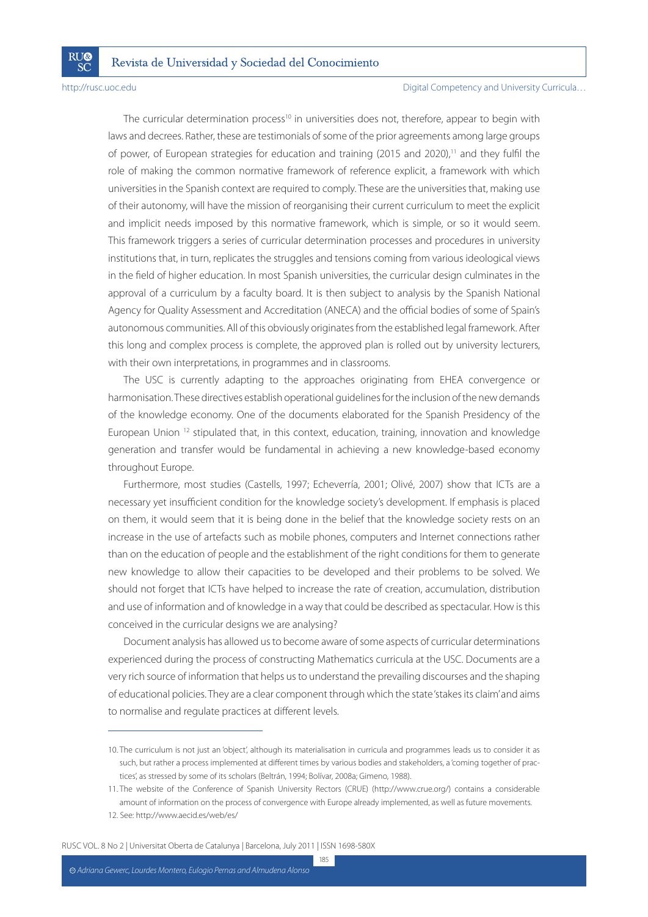**SC** 

#### http://rusc.uoc.edu Digital Competency and University Curricula…

The curricular determination process<sup>10</sup> in universities does not, therefore, appear to begin with laws and decrees. Rather, these are testimonials of some of the prior agreements among large groups of power, of European strategies for education and training (2015 and 2020),<sup>11</sup> and they fulfil the role of making the common normative framework of reference explicit, a framework with which universities in the Spanish context are required to comply. These are the universities that, making use of their autonomy, will have the mission of reorganising their current curriculum to meet the explicit and implicit needs imposed by this normative framework, which is simple, or so it would seem. This framework triggers a series of curricular determination processes and procedures in university institutions that, in turn, replicates the struggles and tensions coming from various ideological views in the field of higher education. In most Spanish universities, the curricular design culminates in the approval of a curriculum by a faculty board. It is then subject to analysis by the Spanish National Agency for Quality Assessment and Accreditation (ANECA) and the official bodies of some of Spain's autonomous communities. All of this obviously originates from the established legal framework. After this long and complex process is complete, the approved plan is rolled out by university lecturers, with their own interpretations, in programmes and in classrooms.

The USC is currently adapting to the approaches originating from EHEA convergence or harmonisation. These directives establish operational guidelines for the inclusion of the new demands of the knowledge economy. One of the documents elaborated for the Spanish Presidency of the European Union <sup>12</sup> stipulated that, in this context, education, training, innovation and knowledge generation and transfer would be fundamental in achieving a new knowledge-based economy throughout Europe.

Furthermore, most studies (Castells, 1997; Echeverría, 2001; Olivé, 2007) show that ICTs are a necessary yet insufficient condition for the knowledge society's development. If emphasis is placed on them, it would seem that it is being done in the belief that the knowledge society rests on an increase in the use of artefacts such as mobile phones, computers and Internet connections rather than on the education of people and the establishment of the right conditions for them to generate new knowledge to allow their capacities to be developed and their problems to be solved. We should not forget that ICTs have helped to increase the rate of creation, accumulation, distribution and use of information and of knowledge in a way that could be described as spectacular. How is this conceived in the curricular designs we are analysing?

Document analysis has allowed us to become aware of some aspects of curricular determinations experienced during the process of constructing Mathematics curricula at the USC. Documents are a very rich source of information that helps us to understand the prevailing discourses and the shaping of educational policies. They are a clear component through which the state 'stakes its claim' and aims to normalise and regulate practices at different levels.

185

<sup>10.</sup> The curriculum is not just an 'object', although its materialisation in curricula and programmes leads us to consider it as such, but rather a process implemented at different times by various bodies and stakeholders, a 'coming together of practices', as stressed by some of its scholars (Beltrán, 1994; Bolívar, 2008a; Gimeno, 1988).

<sup>11.</sup> The website of the Conference of Spanish University Rectors (CRUE) (http://www.crue.org/) contains a considerable amount of information on the process of convergence with Europe already implemented, as well as future movements.

<sup>12.</sup> See: http://www.aecid.es/web/es/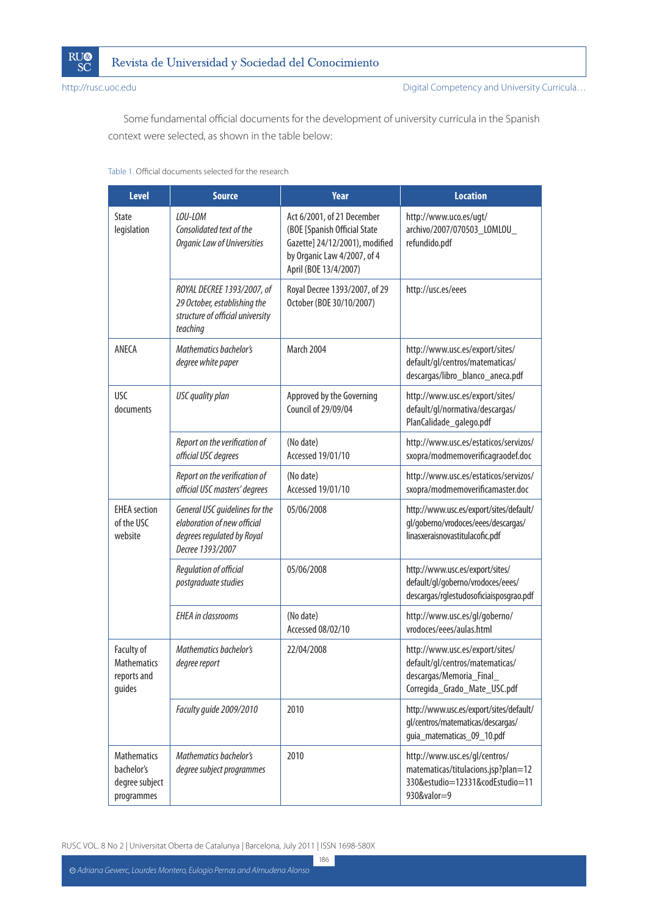

#### http://rusc.uoc.edu by a material competency and University Curricula...

Some fundamental official documents for the development of university curricula in the Spanish context were selected, as shown in the table below:

Table 1. Official documents selected for the research

| <b>Level</b>                                                     | <b>Source</b>                                                                                                   | <b>Year</b>                                                                                                                                          | <b>Location</b>                                                                                                                |
|------------------------------------------------------------------|-----------------------------------------------------------------------------------------------------------------|------------------------------------------------------------------------------------------------------------------------------------------------------|--------------------------------------------------------------------------------------------------------------------------------|
| State<br>legislation                                             | LOU-LOM<br>Consolidated text of the<br>Organic Law of Universities                                              | Act 6/2001, of 21 December<br>(BOE [Spanish Official State<br>Gazette] 24/12/2001), modified<br>by Organic Law 4/2007, of 4<br>April (BOE 13/4/2007) | http://www.uco.es/ugt/<br>archivo/2007/070503_LOMLOU_<br>refundido.pdf                                                         |
|                                                                  | ROYAL DECREE 1393/2007, of<br>29 October, establishing the<br>structure of official university<br>teaching      | Royal Decree 1393/2007, of 29<br>October (BOE 30/10/2007)                                                                                            | http://usc.es/eees                                                                                                             |
| ANECA                                                            | Mathematics bachelor's<br>degree white paper                                                                    | March 2004                                                                                                                                           | http://www.usc.es/export/sites/<br>default/gl/centros/matematicas/<br>descargas/libro_blanco_aneca.pdf                         |
| <b>USC</b><br>documents                                          | <b>USC</b> quality plan                                                                                         | Approved by the Governing<br><b>Council of 29/09/04</b>                                                                                              | http://www.usc.es/export/sites/<br>default/gl/normativa/descargas/<br>PlanCalidade_galego.pdf                                  |
|                                                                  | Report on the verification of<br>official USC degrees                                                           | (No date)<br>Accessed 19/01/10                                                                                                                       | http://www.usc.es/estaticos/servizos/<br>sxopra/modmemoverificagraodef.doc                                                     |
|                                                                  | Report on the verification of<br>official USC masters' degrees                                                  | (No date)<br>Accessed 19/01/10                                                                                                                       | http://www.usc.es/estaticos/servizos/<br>sxopra/modmemoverificamaster.doc                                                      |
| <b>EHEA</b> section<br>of the USC<br>website                     | General USC guidelines for the<br>elaboration of new official<br>degrees regulated by Royal<br>Decree 1393/2007 | 05/06/2008                                                                                                                                           | http://www.usc.es/export/sites/default/<br>gl/goberno/vrodoces/eees/descargas/<br>linasxeraisnovastitulacofic.pdf              |
|                                                                  | Regulation of official<br>postgraduate studies                                                                  | 05/06/2008                                                                                                                                           | http://www.usc.es/export/sites/<br>default/gl/goberno/vrodoces/eees/<br>descargas/rglestudosoficiaisposqrao.pdf                |
|                                                                  | <b>EHEA</b> in classrooms                                                                                       | (No date)<br>Accessed 08/02/10                                                                                                                       | http://www.usc.es/gl/goberno/<br>vrodoces/eees/aulas.html                                                                      |
| Faculty of<br><b>Mathematics</b><br>reports and<br>quides        | Mathematics bachelor's<br>degree report                                                                         | 22/04/2008                                                                                                                                           | http://www.usc.es/export/sites/<br>default/gl/centros/matematicas/<br>descargas/Memoria_Final_<br>Corregida_Grado_Mate_USC.pdf |
|                                                                  | Faculty guide 2009/2010                                                                                         | 2010                                                                                                                                                 | http://www.usc.es/export/sites/default/<br>ql/centros/matematicas/descargas/<br>quia_matematicas_09_10.pdf                     |
| <b>Mathematics</b><br>bachelor's<br>degree subject<br>programmes | Mathematics bachelor's<br>degree subject programmes                                                             | 2010                                                                                                                                                 | http://www.usc.es/gl/centros/<br>matematicas/titulacions.jsp?plan=12<br>330&estudio=12331&codEstudio=11<br>930&valor=9         |

186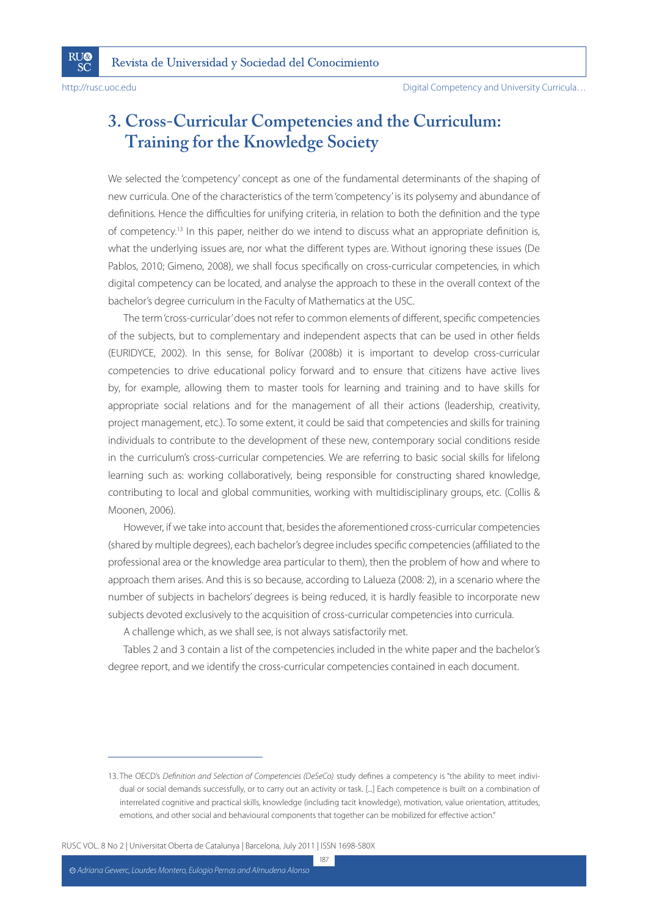**SC** 

### **3. Cross-Curricular Competencies and the Curriculum: Training for the Knowledge Society**

We selected the 'competency' concept as one of the fundamental determinants of the shaping of new curricula. One of the characteristics of the term 'competency' is its polysemy and abundance of definitions. Hence the difficulties for unifying criteria, in relation to both the definition and the type of competency.<sup>13</sup> In this paper, neither do we intend to discuss what an appropriate definition is, what the underlying issues are, nor what the different types are. Without ignoring these issues (De Pablos, 2010; Gimeno, 2008), we shall focus specifically on cross-curricular competencies, in which digital competency can be located, and analyse the approach to these in the overall context of the bachelor's degree curriculum in the Faculty of Mathematics at the USC.

The term 'cross-curricular' does not refer to common elements of different, specific competencies of the subjects, but to complementary and independent aspects that can be used in other fields (EURIDYCE, 2002). In this sense, for Bolívar (2008b) it is important to develop cross-curricular competencies to drive educational policy forward and to ensure that citizens have active lives by, for example, allowing them to master tools for learning and training and to have skills for appropriate social relations and for the management of all their actions (leadership, creativity, project management, etc.). To some extent, it could be said that competencies and skills for training individuals to contribute to the development of these new, contemporary social conditions reside in the curriculum's cross-curricular competencies. We are referring to basic social skills for lifelong learning such as: working collaboratively, being responsible for constructing shared knowledge, contributing to local and global communities, working with multidisciplinary groups, etc. (Collis & Moonen, 2006).

However, if we take into account that, besides the aforementioned cross-curricular competencies (shared by multiple degrees), each bachelor's degree includes specific competencies (affiliated to the professional area or the knowledge area particular to them), then the problem of how and where to approach them arises. And this is so because, according to Lalueza (2008: 2), in a scenario where the number of subjects in bachelors' degrees is being reduced, it is hardly feasible to incorporate new subjects devoted exclusively to the acquisition of cross-curricular competencies into curricula.

A challenge which, as we shall see, is not always satisfactorily met.

Tables 2 and 3 contain a list of the competencies included in the white paper and the bachelor's degree report, and we identify the cross-curricular competencies contained in each document.

187

<sup>13.</sup> The OECD's Definition and Selection of Competencies (DeSeCo) study defines a competency is "the ability to meet individual or social demands successfully, or to carry out an activity or task. [...] Each competence is built on a combination of interrelated cognitive and practical skills, knowledge (including tacit knowledge), motivation, value orientation, attitudes, emotions, and other social and behavioural components that together can be mobilized for effective action."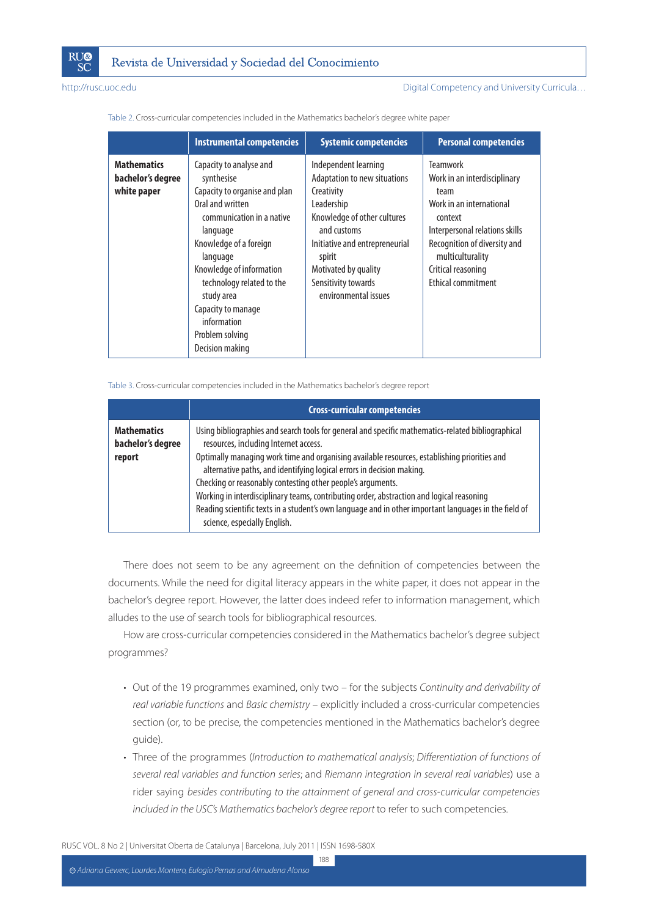

#### http://rusc.uoc.edu Digital Competency and University Curricula…

|                                                        | <b>Instrumental competencies</b>                                                                                                                                                                                                                                                                                            | <b>Systemic competencies</b>                                                                                                                                                                                                                      | <b>Personal competencies</b>                                                                                                                                                                                                            |
|--------------------------------------------------------|-----------------------------------------------------------------------------------------------------------------------------------------------------------------------------------------------------------------------------------------------------------------------------------------------------------------------------|---------------------------------------------------------------------------------------------------------------------------------------------------------------------------------------------------------------------------------------------------|-----------------------------------------------------------------------------------------------------------------------------------------------------------------------------------------------------------------------------------------|
| <b>Mathematics</b><br>bachelor's degree<br>white paper | Capacity to analyse and<br>synthesise<br>Capacity to organise and plan<br>Oral and written<br>communication in a native<br>language<br>Knowledge of a foreign<br>language<br>Knowledge of information<br>technology related to the<br>study area<br>Capacity to manage<br>information<br>Problem solving<br>Decision making | Independent learning<br>Adaptation to new situations<br>Creativity<br>Leadership<br>Knowledge of other cultures<br>and customs<br>Initiative and entrepreneurial<br>spirit<br>Motivated by quality<br>Sensitivity towards<br>environmental issues | <b>Teamwork</b><br>Work in an interdisciplinary<br>team<br>Work in an international<br>context<br>Interpersonal relations skills<br>Recognition of diversity and<br>multiculturality<br>Critical reasoning<br><b>Ethical commitment</b> |

Table 2. Cross-curricular competencies included in the Mathematics bachelor's degree white paper

Table 3. Cross-curricular competencies included in the Mathematics bachelor's degree report

|                                                   | <b>Cross-curricular competencies</b>                                                                                                                                                                                                                                                                                                                                                                                                                                                                                                                                                                                      |  |
|---------------------------------------------------|---------------------------------------------------------------------------------------------------------------------------------------------------------------------------------------------------------------------------------------------------------------------------------------------------------------------------------------------------------------------------------------------------------------------------------------------------------------------------------------------------------------------------------------------------------------------------------------------------------------------------|--|
| <b>Mathematics</b><br>bachelor's degree<br>report | Using bibliographies and search tools for general and specific mathematics-related bibliographical<br>resources, including Internet access.<br>Optimally managing work time and organising available resources, establishing priorities and<br>alternative paths, and identifying logical errors in decision making.<br>Checking or reasonably contesting other people's arguments.<br>Working in interdisciplinary teams, contributing order, abstraction and logical reasoning<br>Reading scientific texts in a student's own language and in other important languages in the field of<br>science, especially English. |  |

There does not seem to be any agreement on the definition of competencies between the documents. While the need for digital literacy appears in the white paper, it does not appear in the bachelor's degree report. However, the latter does indeed refer to information management, which alludes to the use of search tools for bibliographical resources.

How are cross-curricular competencies considered in the Mathematics bachelor's degree subject programmes?

- Out of the 19 programmes examined, only two for the subjects Continuity and derivability of real variable functions and Basic chemistry – explicitly included a cross-curricular competencies section (or, to be precise, the competencies mentioned in the Mathematics bachelor's degree guide).
- Three of the programmes (Introduction to mathematical analysis; Differentiation of functions of several real variables and function series; and Riemann integration in several real variables) use a rider saying besides contributing to the attainment of general and cross-curricular competencies included in the USC's Mathematics bachelor's degree report to refer to such competencies.

188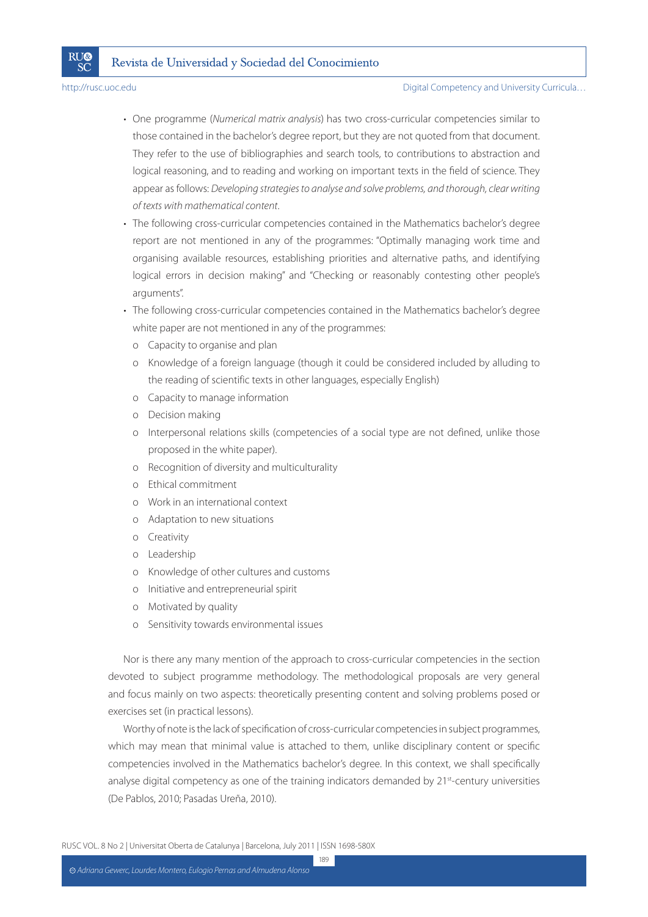

- One programme (Numerical matrix analysis) has two cross-curricular competencies similar to those contained in the bachelor's degree report, but they are not quoted from that document. They refer to the use of bibliographies and search tools, to contributions to abstraction and logical reasoning, and to reading and working on important texts in the field of science. They appear as follows: Developing strategies to analyse and solve problems, and thorough, clear writing of texts with mathematical content.
- The following cross-curricular competencies contained in the Mathematics bachelor's degree report are not mentioned in any of the programmes: "Optimally managing work time and organising available resources, establishing priorities and alternative paths, and identifying logical errors in decision making" and "Checking or reasonably contesting other people's arguments".
- The following cross-curricular competencies contained in the Mathematics bachelor's degree white paper are not mentioned in any of the programmes:
	- o Capacity to organise and plan
	- o Knowledge of a foreign language (though it could be considered included by alluding to the reading of scientific texts in other languages, especially English)
	- o Capacity to manage information
	- o Decision making
	- o Interpersonal relations skills (competencies of a social type are not defined, unlike those proposed in the white paper).
	- o Recognition of diversity and multiculturality
	- o Ethical commitment
	- o Work in an international context
	- o Adaptation to new situations
	- o Creativity
	- o Leadership
	- o Knowledge of other cultures and customs
	- o Initiative and entrepreneurial spirit
	- o Motivated by quality
	- o Sensitivity towards environmental issues

Nor is there any many mention of the approach to cross-curricular competencies in the section devoted to subject programme methodology. The methodological proposals are very general and focus mainly on two aspects: theoretically presenting content and solving problems posed or exercises set (in practical lessons).

Worthy of note is the lack of specification of cross-curricular competencies in subject programmes, which may mean that minimal value is attached to them, unlike disciplinary content or specific competencies involved in the Mathematics bachelor's degree. In this context, we shall specifically analyse digital competency as one of the training indicators demanded by 21st-century universities (De Pablos, 2010; Pasadas Ureña, 2010).

189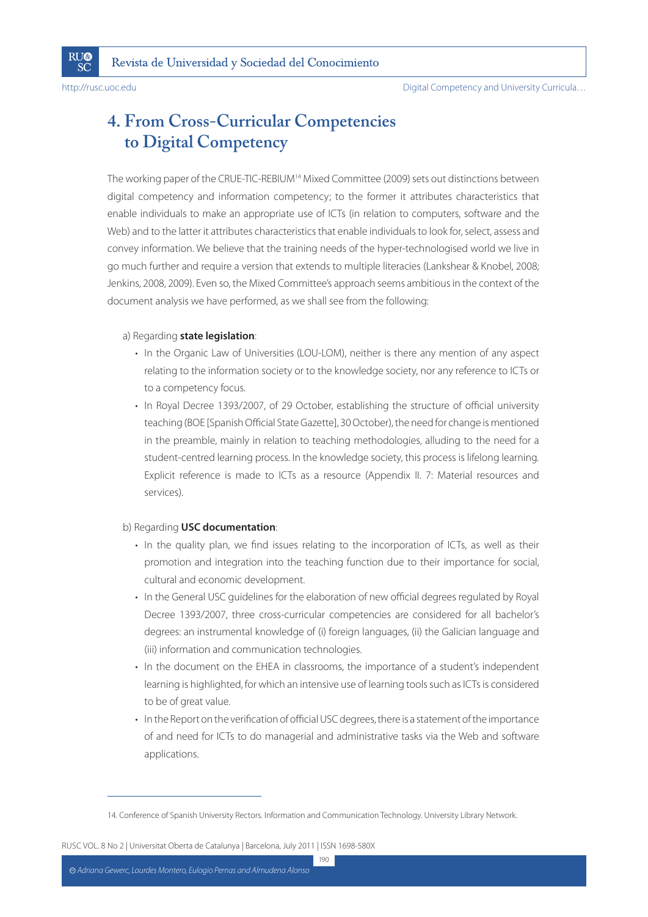SČ

## **4. From Cross-Curricular Competencies to Digital Competency**

The working paper of the CRUE-TIC-REBIUM14 Mixed Committee (2009) sets out distinctions between digital competency and information competency; to the former it attributes characteristics that enable individuals to make an appropriate use of ICTs (in relation to computers, software and the Web) and to the latter it attributes characteristics that enable individuals to look for, select, assess and convey information. We believe that the training needs of the hyper-technologised world we live in go much further and require a version that extends to multiple literacies (Lankshear & Knobel, 2008; Jenkins, 2008, 2009). Even so, the Mixed Committee's approach seems ambitious in the context of the document analysis we have performed, as we shall see from the following:

#### a) Regarding **state legislation**:

- In the Organic Law of Universities (LOU-LOM), neither is there any mention of any aspect relating to the information society or to the knowledge society, nor any reference to ICTs or to a competency focus.
- In Royal Decree 1393/2007, of 29 October, establishing the structure of official university teaching (BOE [Spanish Official State Gazette], 30 October), the need for change is mentioned in the preamble, mainly in relation to teaching methodologies, alluding to the need for a student-centred learning process. In the knowledge society, this process is lifelong learning. Explicit reference is made to ICTs as a resource (Appendix II. 7: Material resources and services).

#### b) Regarding **USC documentation**:

- In the quality plan, we find issues relating to the incorporation of ICTs, as well as their promotion and integration into the teaching function due to their importance for social, cultural and economic development.
- In the General USC guidelines for the elaboration of new official degrees regulated by Royal Decree 1393/2007, three cross-curricular competencies are considered for all bachelor's degrees: an instrumental knowledge of (i) foreign languages, (ii) the Galician language and (iii) information and communication technologies.
- In the document on the EHEA in classrooms, the importance of a student's independent learning is highlighted, for which an intensive use of learning tools such as ICTs is considered to be of great value.
- In the Report on the verification of official USC degrees, there is a statement of the importance of and need for ICTs to do managerial and administrative tasks via the Web and software applications.

190

<sup>14.</sup> Conference of Spanish University Rectors. Information and Communication Technology. University Library Network.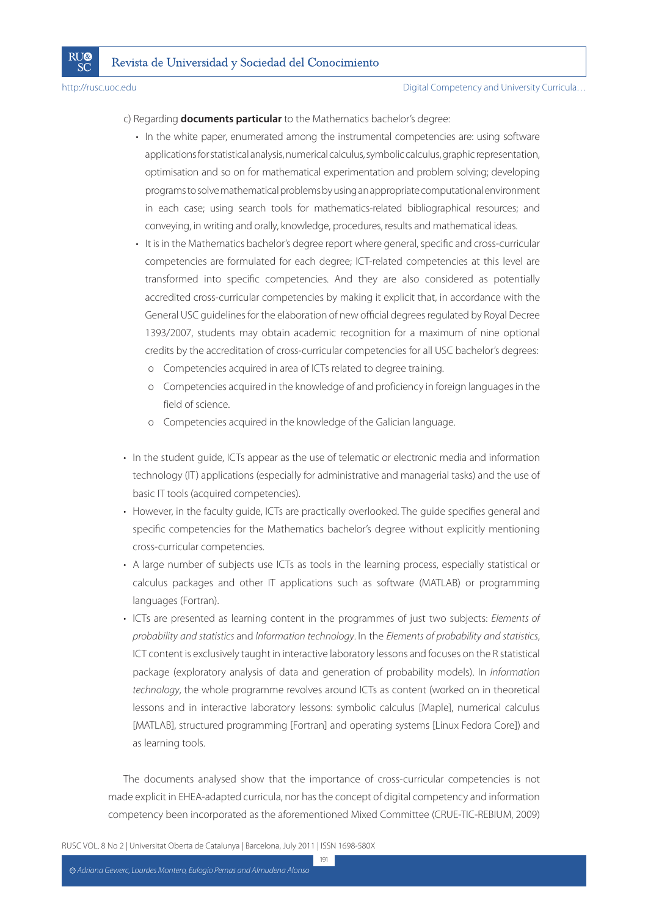

c) Regarding **documents particular** to the Mathematics bachelor's degree:

- In the white paper, enumerated among the instrumental competencies are: using software applications for statistical analysis, numerical calculus, symbolic calculus, graphic representation, optimisation and so on for mathematical experimentation and problem solving; developing programs to solve mathematical problems by using an appropriate computational environment in each case; using search tools for mathematics-related bibliographical resources; and conveying, in writing and orally, knowledge, procedures, results and mathematical ideas.
- t It is in the Mathematics bachelor's degree report where general, specific and cross-curricular competencies are formulated for each degree; ICT-related competencies at this level are transformed into specific competencies. And they are also considered as potentially accredited cross-curricular competencies by making it explicit that, in accordance with the General USC guidelines for the elaboration of new official degrees regulated by Royal Decree 1393/2007, students may obtain academic recognition for a maximum of nine optional credits by the accreditation of cross-curricular competencies for all USC bachelor's degrees:
	- o Competencies acquired in area of ICTs related to degree training.
	- o Competencies acquired in the knowledge of and proficiency in foreign languages in the field of science.
	- o Competencies acquired in the knowledge of the Galician language.
- $\cdot$  In the student guide, ICTs appear as the use of telematic or electronic media and information technology (IT) applications (especially for administrative and managerial tasks) and the use of basic IT tools (acquired competencies).
- However, in the faculty guide, ICTs are practically overlooked. The guide specifies general and specific competencies for the Mathematics bachelor's degree without explicitly mentioning cross-curricular competencies.
- A large number of subjects use ICTs as tools in the learning process, especially statistical or calculus packages and other IT applications such as software (MATLAB) or programming languages (Fortran).
- ICTs are presented as learning content in the programmes of just two subjects: Elements of probability and statistics and Information technology. In the Elements of probability and statistics, ICT content is exclusively taught in interactive laboratory lessons and focuses on the R statistical package (exploratory analysis of data and generation of probability models). In Information technology, the whole programme revolves around ICTs as content (worked on in theoretical lessons and in interactive laboratory lessons: symbolic calculus [Maple], numerical calculus [MATLAB], structured programming [Fortran] and operating systems [Linux Fedora Core]) and as learning tools.

The documents analysed show that the importance of cross-curricular competencies is not made explicit in EHEA-adapted curricula, nor has the concept of digital competency and information competency been incorporated as the aforementioned Mixed Committee (CRUE-TIC-REBIUM, 2009)

191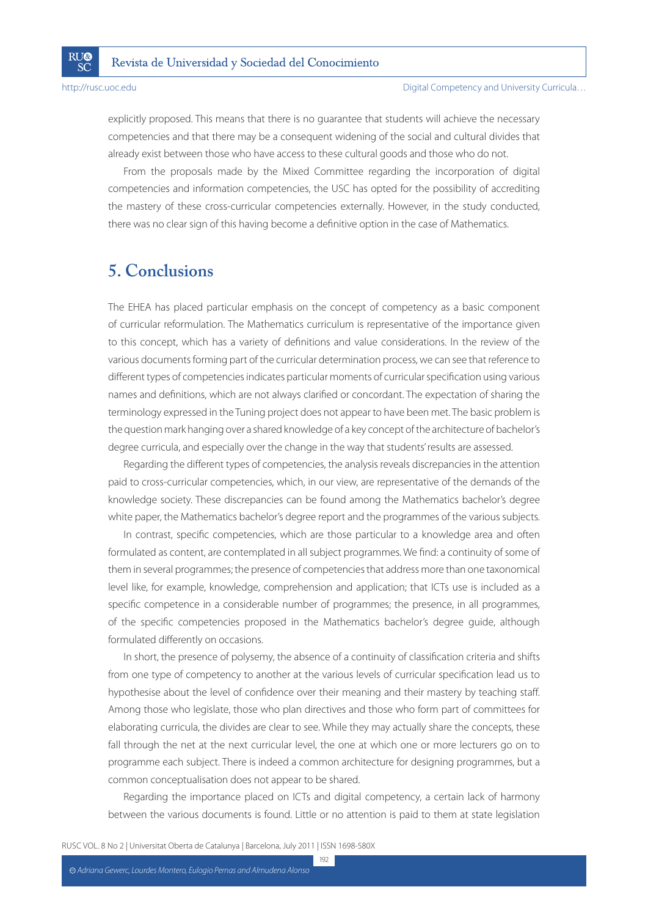SČ

explicitly proposed. This means that there is no guarantee that students will achieve the necessary competencies and that there may be a consequent widening of the social and cultural divides that already exist between those who have access to these cultural goods and those who do not.

From the proposals made by the Mixed Committee regarding the incorporation of digital competencies and information competencies, the USC has opted for the possibility of accrediting the mastery of these cross-curricular competencies externally. However, in the study conducted, there was no clear sign of this having become a definitive option in the case of Mathematics.

### **5. Conclusions**

The EHEA has placed particular emphasis on the concept of competency as a basic component of curricular reformulation. The Mathematics curriculum is representative of the importance given to this concept, which has a variety of definitions and value considerations. In the review of the various documents forming part of the curricular determination process, we can see that reference to different types of competencies indicates particular moments of curricular specification using various names and definitions, which are not always clarified or concordant. The expectation of sharing the terminology expressed in the Tuning project does not appear to have been met. The basic problem is the question mark hanging over a shared knowledge of a key concept of the architecture of bachelor's degree curricula, and especially over the change in the way that students' results are assessed.

Regarding the different types of competencies, the analysis reveals discrepancies in the attention paid to cross-curricular competencies, which, in our view, are representative of the demands of the knowledge society. These discrepancies can be found among the Mathematics bachelor's degree white paper, the Mathematics bachelor's degree report and the programmes of the various subjects.

In contrast, specific competencies, which are those particular to a knowledge area and often formulated as content, are contemplated in all subject programmes. We find: a continuity of some of them in several programmes; the presence of competencies that address more than one taxonomical level like, for example, knowledge, comprehension and application; that ICTs use is included as a specific competence in a considerable number of programmes; the presence, in all programmes, of the specific competencies proposed in the Mathematics bachelor's degree guide, although formulated differently on occasions.

In short, the presence of polysemy, the absence of a continuity of classification criteria and shifts from one type of competency to another at the various levels of curricular specification lead us to hypothesise about the level of confidence over their meaning and their mastery by teaching staff. Among those who legislate, those who plan directives and those who form part of committees for elaborating curricula, the divides are clear to see. While they may actually share the concepts, these fall through the net at the next curricular level, the one at which one or more lecturers go on to programme each subject. There is indeed a common architecture for designing programmes, but a common conceptualisation does not appear to be shared.

Regarding the importance placed on ICTs and digital competency, a certain lack of harmony between the various documents is found. Little or no attention is paid to them at state legislation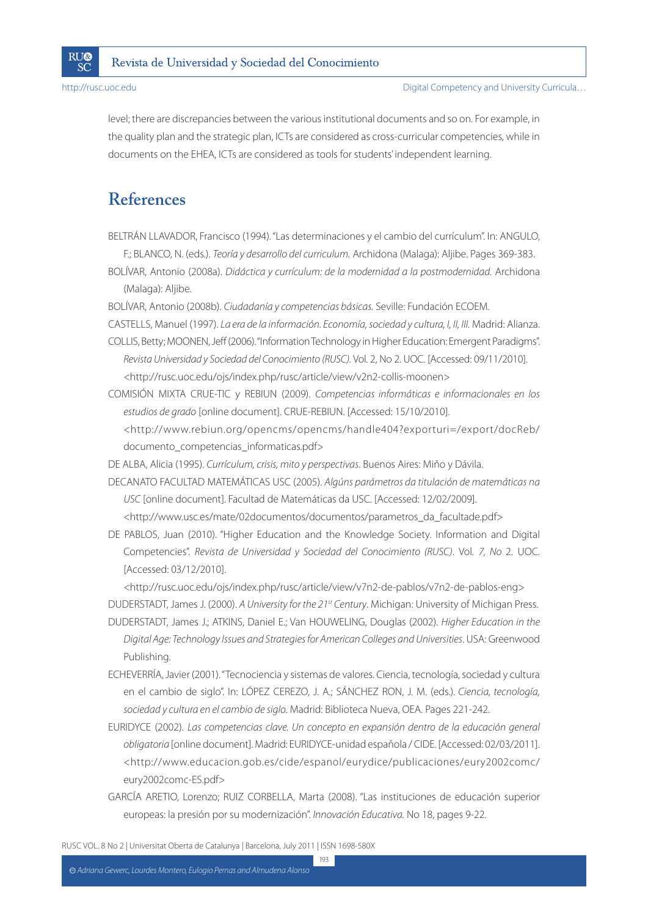

level; there are discrepancies between the various institutional documents and so on. For example, in the quality plan and the strategic plan, ICTs are considered as cross-curricular competencies, while in documents on the EHEA, ICTs are considered as tools for students' independent learning.

### **References**

- BELTRÁN LLAVADOR, Francisco (1994). "Las determinaciones y el cambio del currículum". In: ANGULO, F.; BLANCO, N. (eds.). Teoría y desarrollo del curriculum. Archidona (Malaga): Aljibe. Pages 369-383.
- BOLÍVAR, Antonio (2008a). Didáctica y currículum: de la modernidad a la postmodernidad. Archidona (Malaga): Aljibe.
- BOLÍVAR, Antonio (2008b). Ciudadanía y competencias básicas. Seville: Fundación ECOEM.
- CASTELLS, Manuel (1997). La era de la información. Economía, sociedad y cultura, I, II, III. Madrid: Alianza.
- COLLIS, Betty; MOONEN, Jeff (2006). "Information Technology in Higher Education: Emergent Paradigms". Revista Universidad y Sociedad del Conocimiento (RUSC). Vol. 2, No 2. UOC. [Accessed: 09/11/2010]. <http://rusc.uoc.edu/ojs/index.php/rusc/article/view/v2n2-collis-moonen>
- COMISIÓN MIXTA CRUE-TIC y REBIUN (2009). Competencias informáticas e informacionales en los estudios de grado [online document]. CRUE-REBIUN. [Accessed: 15/10/2010]. <http://www.rebiun.org/opencms/opencms/handle404?exporturi=/export/docReb/ documento\_competencias\_informaticas.pdf>
- DE ALBA, Alicia (1995). Currículum, crisis, mito y perspectivas. Buenos Aires: Miño y Dávila.
- DECANATO FACULTAD MATEMÁTICAS USC (2005). Algúns parámetros da titulación de matemáticas na USC [online document]. Facultad de Matemáticas da USC. [Accessed: 12/02/2009]. <http://www.usc.es/mate/02documentos/documentos/parametros\_da\_facultade.pdf>
- DE PABLOS, Juan (2010). "Higher Education and the Knowledge Society. Information and Digital Competencies". Revista de Universidad y Sociedad del Conocimiento (RUSC). Vol. 7, No 2. UOC. [Accessed: 03/12/2010].

<http://rusc.uoc.edu/ojs/index.php/rusc/article/view/v7n2-de-pablos/v7n2-de-pablos-eng>

- DUDERSTADT, James J. (2000). A University for the 21<sup>st</sup> Century. Michigan: University of Michigan Press. DUDERSTADT, James J.; ATKINS, Daniel E.; Van HOUWELING, Douglas (2002). Higher Education in the
- Digital Age: Technology Issues and Strategies for American Colleges and Universities. USA: Greenwood Publishing.
- ECHEVERRÍA, Javier (2001). "Tecnociencia y sistemas de valores. Ciencia, tecnología, sociedad y cultura en el cambio de siglo". In: LÓPEZ CEREZO, J. A.; SÁNCHEZ RON, J. M. (eds.). Ciencia, tecnología, sociedad y cultura en el cambio de siglo. Madrid: Biblioteca Nueva, OEA. Pages 221-242.
- EURIDYCE (2002). Las competencias clave. Un concepto en expansión dentro de la educación general obligatoria [online document]. Madrid: EURIDYCE-unidad española / CIDE. [Accessed: 02/03/2011]. <http://www.educacion.gob.es/cide/espanol/eurydice/publicaciones/eury2002comc/ eury2002comc-ES.pdf>
- GARCÍA ARETIO, Lorenzo; RUIZ CORBELLA, Marta (2008). "Las instituciones de educación superior europeas: la presión por su modernización". Innovación Educativa. No 18, pages 9-22.

193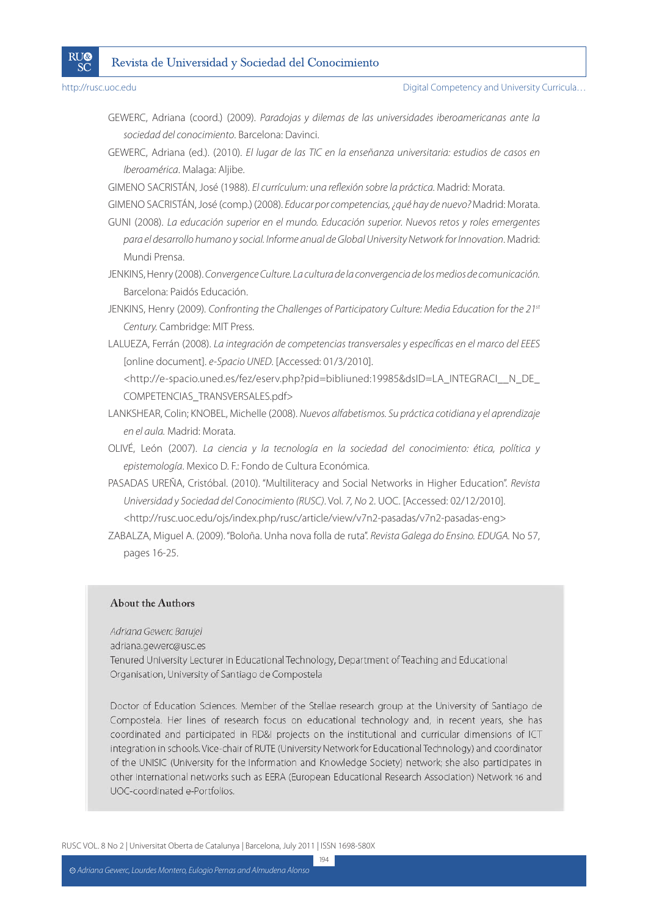

- GEWERC, Adriana (coord.) (2009). Paradojas y dilemas de las universidades iberoamericanas ante la sociedad del conocimiento. Barcelona: Davinci.
- GEWERC, Adriana (ed.). (2010). El lugar de las TIC en la enseñanza universitaria: estudios de casos en Iberoamérica. Malaga: Aljibe.
- GIMENO SACRISTÁN, José (1988). El currículum: una reflexión sobre la práctica. Madrid: Morata.
- GIMENO SACRISTÁN, José (comp.) (2008). Educar por competencias, ¿qué hay de nuevo? Madrid: Morata.
- GUNI (2008). La educación superior en el mundo. Educación superior. Nuevos retos y roles emergentes para el desarrollo humano y social. Informe anual de Global University Network for Innovation. Madrid: Mundi Prensa.
- JENKINS, Henry (2008). Convergence Culture. La cultura de la convergencia de los medios de comunicación. Barcelona: Paidós Educación.
- JENKINS, Henry (2009). Confronting the Challenges of Participatory Culture: Media Education for the 21st Century. Cambridge: MIT Press.
- LALUEZA, Ferrán (2008). La integración de competencias transversales y específicas en el marco del EEES [online document]. e-Spacio UNED. [Accessed: 01/3/2010].
	- <http://e-spacio.uned.es/fez/eserv.php?pid=bibliuned:19985&dsID=LA\_INTEGRACI\_\_N\_DE\_ COMPETENCIAS\_TRANSVERSALES.pdf>
- LANKSHEAR, Colin; KNOBEL, Michelle (2008). Nuevos alfabetismos. Su práctica cotidiana y el aprendizaje en el aula. Madrid: Morata.
- OLIVÉ, León (2007). La ciencia y la tecnología en la sociedad del conocimiento: ética, política y epistemología. Mexico D. F.: Fondo de Cultura Económica.
- PASADAS UREÑA, Cristóbal. (2010). "Multiliteracy and Social Networks in Higher Education". Revista Universidad y Sociedad del Conocimiento (RUSC). Vol. 7, No 2. UOC. [Accessed: 02/12/2010]. <http://rusc.uoc.edu/ojs/index.php/rusc/article/view/v7n2-pasadas/v7n2-pasadas-eng>
- ZABALZA, Miguel A. (2009). "Boloña. Unha nova folla de ruta". Revista Galega do Ensino. EDUGA. No 57, pages 16-25.

#### About the Authors

Adriana Gewerc Barujel

adriana.gewerc@usc.es

Tenured University Lecturer in Educational Technology, Department of Teaching and Educational Organisation, University of Santiago de Compostela

Doctor of Education Sciences. Member of the Stellae research group at the University of Santiago de Compostela. Her lines of research focus on educational technology and, in recent years, she has coordinated and participated in RD&I projects on the institutional and curricular dimensions of ICT integration in schools. Vice-chair of RUTE (University Network for Educational Technology) and coordinator of the UNISIC (University for the Information and Knowledge Society) network; she also participates in other international networks such as EERA (European Educational Research Association) Network 16 and UOC-coordinated e-Portfolios.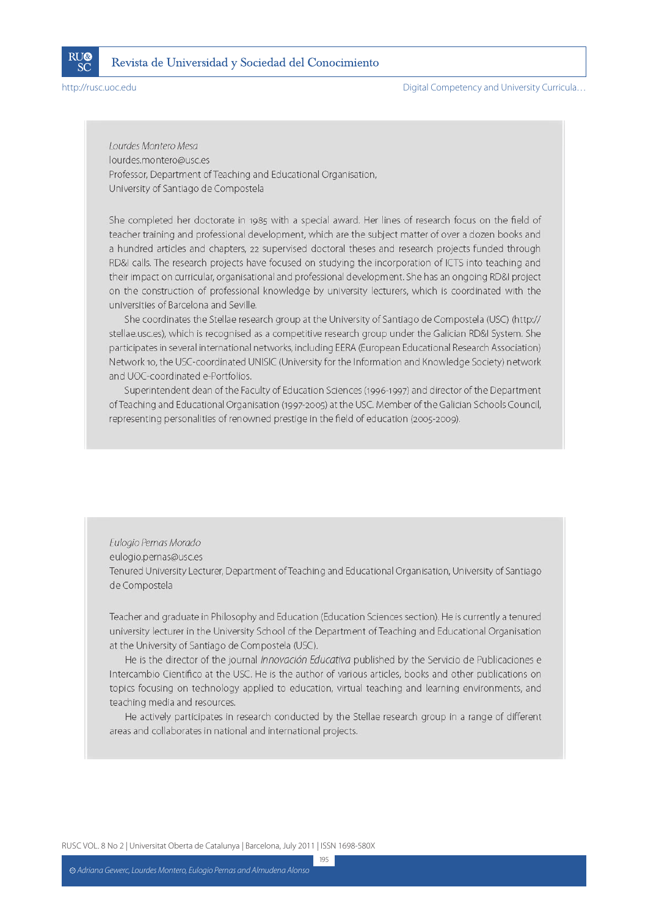

#### http://rusc.uoc.edu **Digital Competency and University Curricula**…

Lourdes Montero Mesa lourdes.montero@usc.es Professor, Department of Teaching and Educational Organisation, University of Santiago de Compostela

She completed her doctorate in 1985 with a special award. Her lines of research focus on the field of teacher training and professional development, which are the subject matter of over a dozen books and a hundred articles and chapters, 22 supervised doctoral theses and research projects funded through RD&I calls. The research projects have focused on studying the incorporation of ICTS into teaching and their impact on curricular, organisational and professional development. She has an ongoing RD&I project on the construction of professional knowledge by university lecturers, which is coordinated with the universities of Barcelona and Seville.

She coordinates the Stellae research group at the University of Santiago de Compostela (USC) (http:// stellae.usc.es), which is recognised as a competitive research group under the Galician RD&I System. She participates in several international networks, including EERA (European Educational Research Association) Network 10, the USC-coordinated UNISIC (University for the Information and Knowledge Society) network and UOC-coordinated e-Portfolios.

Superintendent dean of the Faculty of Education Sciences (1996-1997) and director of the Department of Teaching and Educational Organisation (1997-2005) at the USC. Member of the Galician Schools Council, representing personalities of renowned prestige in the field of education (2005-2009).

Eulogio Pernas Morado eulogio.pernas@usc.es Tenured University Lecturer, Department of Teaching and Educational Organisation, University of Santiago de Compostela

Teacher and graduate in Philosophy and Education (Education Sciences section). He is currently a tenured university lecturer in the University School of the Department of Teaching and Educational Organisation at the University of Santiago de Compostela (USC).

He is the director of the journal *Innovación Educativa* published by the Servicio de Publicaciones e Intercambio Científico at the USC. He is the author of various articles, books and other publications on topics focusing on technology applied to education, virtual teaching and learning environments, and teaching media and resources.

He actively participates in research conducted by the Stellae research group in a range of different areas and collaborates in national and international projects.

195